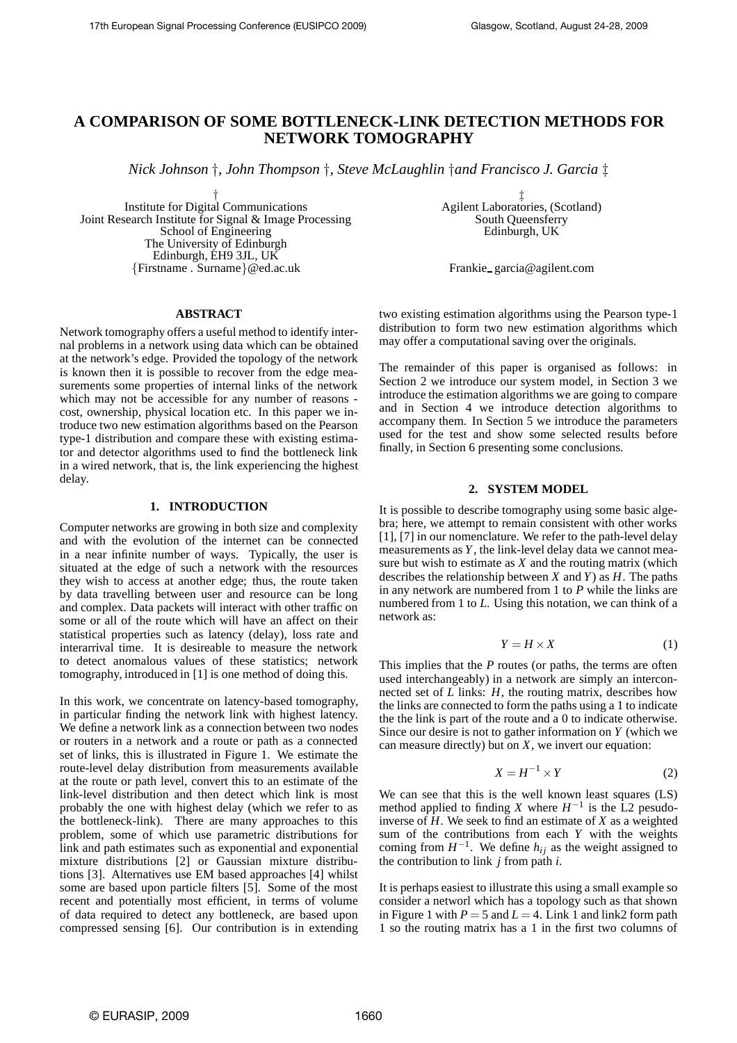# **A COMPARISON OF SOME BOTTLENECK-LINK DETECTION METHODS FOR NETWORK TOMOGRAPHY**

*Nick Johnson* †*, John Thompson* †*, Steve McLaughlin* †*and Francisco J. Garcia* ‡

† Institute for Digital Communications Joint Research Institute for Signal & Image Processing School of Engineering The University of Edinburgh Edinburgh, EH9 3JL, UK {Firstname . Surname}@ed.ac.uk

‡ Agilent Laboratories, (Scotland) South Queensferry Edinburgh, UK

Frankie garcia@agilent.com

#### **ABSTRACT**

Network tomography offers a useful method to identify internal problems in a network using data which can be obtained at the network's edge. Provided the topology of the network is known then it is possible to recover from the edge measurements some properties of internal links of the network which may not be accessible for any number of reasons cost, ownership, physical location etc. In this paper we introduce two new estimation algorithms based on the Pearson type-1 distribution and compare these with existing estimator and detector algorithms used to find the bottleneck link in a wired network, that is, the link experiencing the highest delay.

# **1. INTRODUCTION**

Computer networks are growing in both size and complexity and with the evolution of the internet can be connected in a near infinite number of ways. Typically, the user is situated at the edge of such a network with the resources they wish to access at another edge; thus, the route taken by data travelling between user and resource can be long and complex. Data packets will interact with other traffic on some or all of the route which will have an affect on their statistical properties such as latency (delay), loss rate and interarrival time. It is desireable to measure the network to detect anomalous values of these statistics; network tomography, introduced in [1] is one method of doing this.

In this work, we concentrate on latency-based tomography, in particular finding the network link with highest latency. We define a network link as a connection between two nodes or routers in a network and a route or path as a connected set of links, this is illustrated in Figure 1. We estimate the route-level delay distribution from measurements available at the route or path level, convert this to an estimate of the link-level distribution and then detect which link is most probably the one with highest delay (which we refer to as the bottleneck-link). There are many approaches to this problem, some of which use parametric distributions for link and path estimates such as exponential and exponential mixture distributions [2] or Gaussian mixture distributions [3]. Alternatives use EM based approaches [4] whilst some are based upon particle filters [5]. Some of the most recent and potentially most efficient, in terms of volume of data required to detect any bottleneck, are based upon compressed sensing [6]. Our contribution is in extending

two existing estimation algorithms using the Pearson type-1 distribution to form two new estimation algorithms which may offer a computational saving over the originals.

The remainder of this paper is organised as follows: in Section 2 we introduce our system model, in Section 3 we introduce the estimation algorithms we are going to compare and in Section 4 we introduce detection algorithms to accompany them. In Section 5 we introduce the parameters used for the test and show some selected results before finally, in Section 6 presenting some conclusions.

# **2. SYSTEM MODEL**

It is possible to describe tomography using some basic algebra; here, we attempt to remain consistent with other works [1], [7] in our nomenclature. We refer to the path-level delay measurements as *Y*, the link-level delay data we cannot measure but wish to estimate as *X* and the routing matrix (which describes the relationship between *X* and *Y*) as *H*. The paths in any network are numbered from 1 to *P* while the links are numbered from 1 to *L*. Using this notation, we can think of a network as:

$$
Y = H \times X \tag{1}
$$

This implies that the *P* routes (or paths, the terms are often used interchangeably) in a network are simply an interconnected set of *L* links: *H*, the routing matrix, describes how the links are connected to form the paths using a 1 to indicate the the link is part of the route and a 0 to indicate otherwise. Since our desire is not to gather information on *Y* (which we can measure directly) but on *X*, we invert our equation:

$$
X = H^{-1} \times Y \tag{2}
$$

We can see that this is the well known least squares (LS) method applied to finding *X* where  $H^{-1}$  is the L<sub>2</sub> pesudoinverse of *H*. We seek to find an estimate of *X* as a weighted sum of the contributions from each *Y* with the weights coming from  $H^{-1}$ . We define  $h_{ij}$  as the weight assigned to the contribution to link *j* from path *i*.

It is perhaps easiest to illustrate this using a small example so consider a networl which has a topology such as that shown in Figure 1 with  $P = 5$  and  $L = 4$ . Link 1 and link2 form path 1 so the routing matrix has a 1 in the first two columns of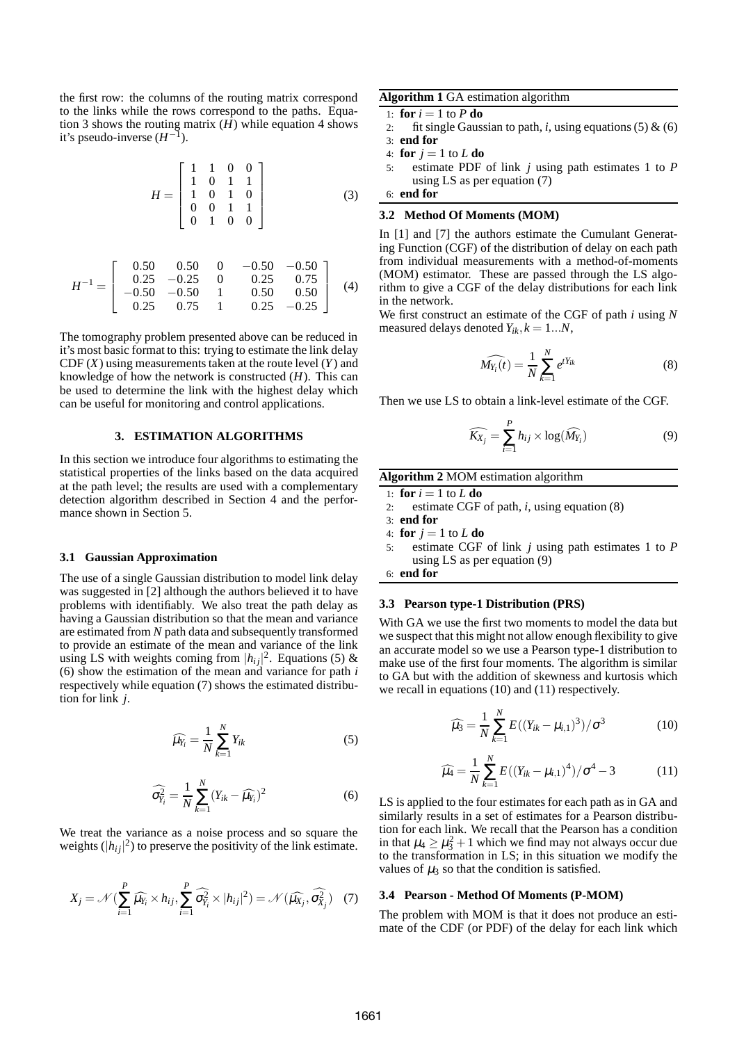the first row: the columns of the routing matrix correspond to the links while the rows correspond to the paths. Equation 3 shows the routing matrix (*H*) while equation 4 shows it's pseudo-inverse  $(H^{-1})$ .

$$
H = \begin{bmatrix} 1 & 1 & 0 & 0 \\ 1 & 0 & 1 & 1 \\ 1 & 0 & 1 & 0 \\ 0 & 0 & 1 & 1 \\ 0 & 1 & 0 & 0 \end{bmatrix}
$$
 (3)

$$
H^{-1} = \begin{bmatrix} 0.50 & 0.50 & 0 & -0.50 & -0.50 \\ 0.25 & -0.25 & 0 & 0.25 & 0.75 \\ -0.50 & -0.50 & 1 & 0.50 & 0.50 \\ 0.25 & 0.75 & 1 & 0.25 & -0.25 \end{bmatrix}
$$
 (4)

The tomography problem presented above can be reduced in it's most basic format to this: trying to estimate the link delay CDF (*X*) using measurements taken at the route level (*Y*) and knowledge of how the network is constructed (*H*). This can be used to determine the link with the highest delay which can be useful for monitoring and control applications.

### **3. ESTIMATION ALGORITHMS**

In this section we introduce four algorithms to estimating the statistical properties of the links based on the data acquired at the path level; the results are used with a complementary detection algorithm described in Section 4 and the performance shown in Section 5.

#### **3.1 Gaussian Approximation**

The use of a single Gaussian distribution to model link delay was suggested in [2] although the authors believed it to have problems with identifiably. We also treat the path delay as having a Gaussian distribution so that the mean and variance are estimated from *N* path data and subsequently transformed to provide an estimate of the mean and variance of the link using LS with weights coming from  $|h_{ij}|^2$ . Equations (5) & (6) show the estimation of the mean and variance for path *i* respectively while equation (7) shows the estimated distribution for link *j*.

$$
\widehat{\mu_{Y_i}} = \frac{1}{N} \sum_{k=1}^{N} Y_{ik} \tag{5}
$$

$$
\widehat{\sigma_{Y_i}^2} = \frac{1}{N} \sum_{k=1}^N (Y_{ik} - \widehat{\mu_{Y_i}})^2
$$
\n(6)

We treat the variance as a noise process and so square the weights  $(|h_{ij}|^2)$  to preserve the positivity of the link estimate.

$$
X_j = \mathcal{N} \left( \sum_{i=1}^P \widehat{\mu_{Y_i}} \times h_{ij}, \sum_{i=1}^P \widehat{\sigma_{Y_i}^2} \times |h_{ij}|^2 \right) = \mathcal{N} \left( \widehat{\mu_{X_j}}, \widehat{\sigma_{X_j}^2} \right) \tag{7}
$$

**Algorithm 1** GA estimation algorithm

- 1: **for**  $i = 1$  to  $P$  **do**
- 2: fit single Gaussian to path,  $i$ , using equations (5)  $\&$  (6) 3: **end for**
- 
- 4: **for**  $j = 1$  to  $L$  **do**
- 5: estimate PDF of link *j* using path estimates 1 to *P* using LS as per equation (7)

$$
6: end for
$$

# **3.2 Method Of Moments (MOM)**

In [1] and [7] the authors estimate the Cumulant Generating Function (CGF) of the distribution of delay on each path from individual measurements with a method-of-moments (MOM) estimator. These are passed through the LS algorithm to give a CGF of the delay distributions for each link in the network.

We first construct an estimate of the CGF of path *i* using *N* measured delays denoted  $Y_{ik}$ ,  $k = 1...N$ ,

$$
\widehat{M_{Y_i}(t)} = \frac{1}{N} \sum_{k=1}^{N} e^{tY_{ik}} \tag{8}
$$

Then we use LS to obtain a link-level estimate of the CGF.

$$
\widehat{K_{X_j}} = \sum_{i=1}^P h_{ij} \times \log(\widehat{M_{Y_i}})
$$
\n(9)

# **Algorithm 2** MOM estimation algorithm

- 1: **for**  $i = 1$  to  $L$  **do**
- 2: estimate CGF of path, *i*, using equation (8)
- 3: **end for**
- 4: **for**  $j = 1$  to  $L$  **do**
- 5: estimate CGF of link *j* using path estimates 1 to *P* using LS as per equation (9)

6: **end for**

# **3.3 Pearson type-1 Distribution (PRS)**

With GA we use the first two moments to model the data but we suspect that this might not allow enough flexibility to give an accurate model so we use a Pearson type-1 distribution to make use of the first four moments. The algorithm is similar to GA but with the addition of skewness and kurtosis which we recall in equations (10) and (11) respectively.

$$
\widehat{\mu_3} = \frac{1}{N} \sum_{k=1}^{N} E((Y_{ik} - \mu_{i,1})^3) / \sigma^3
$$
 (10)

$$
\widehat{\mu_4} = \frac{1}{N} \sum_{k=1}^{N} E((Y_{ik} - \mu_{i,1})^4) / \sigma^4 - 3
$$
 (11)

LS is applied to the four estimates for each path as in GA and similarly results in a set of estimates for a Pearson distribution for each link. We recall that the Pearson has a condition in that  $\mu_4 \geq \mu_3^2 + 1$  which we find may not always occur due to the transformation in LS; in this situation we modify the values of  $\mu_3$  so that the condition is satisfied.

#### **3.4 Pearson - Method Of Moments (P-MOM)**

The problem with MOM is that it does not produce an estimate of the CDF (or PDF) of the delay for each link which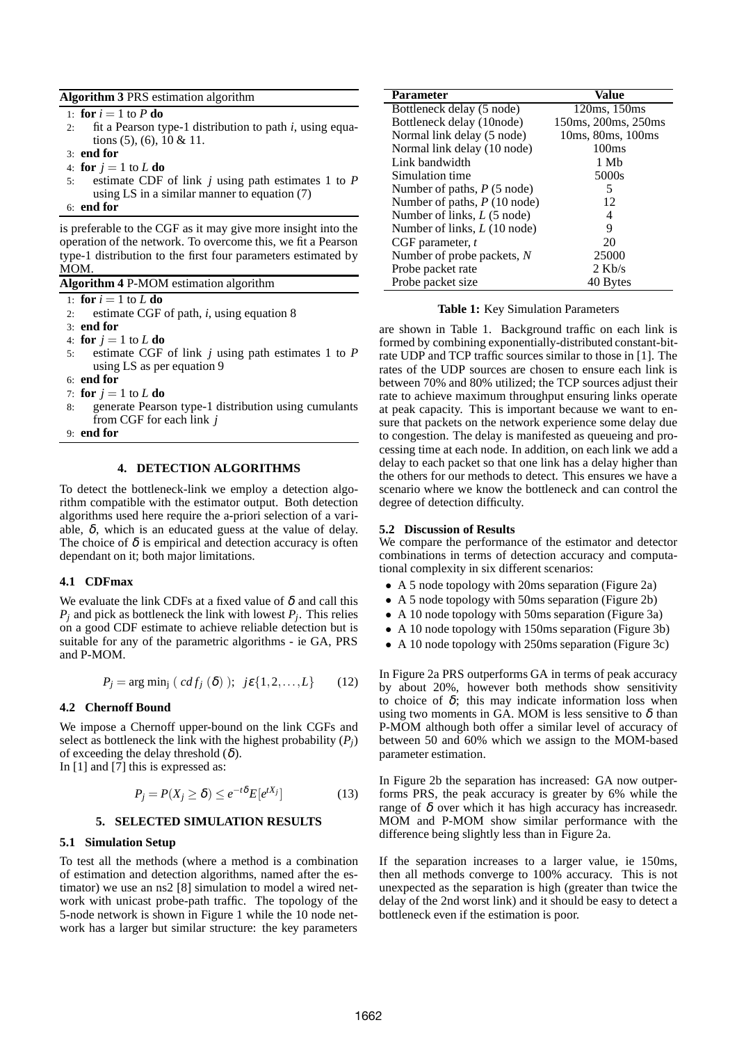# **Algorithm 3** PRS estimation algorithm

1: **for**  $i = 1$  to  $P$  **do** 

- 2: fit a Pearson type-1 distribution to path *i*, using equations (5), (6), 10 & 11.
- 3: **end for**
- 4: **for**  $i = 1$  to  $L$  **do**
- 5: estimate CDF of link *j* using path estimates 1 to *P* using LS in a similar manner to equation (7)

#### 6: **end for**

is preferable to the CGF as it may give more insight into the operation of the network. To overcome this, we fit a Pearson type-1 distribution to the first four parameters estimated by MOM.

**Algorithm 4** P-MOM estimation algorithm

1: **for**  $i = 1$  to  $L$  **do** 

2: estimate CGF of path, *i*, using equation 8

3: **end for**

- 4: **for**  $j = 1$  to  $L$  **do**
- 5: estimate CGF of link *j* using path estimates 1 to *P* using LS as per equation 9
- 6: **end for**
- 7: **for**  $j = 1$  to  $L$  **do**
- 8: generate Pearson type-1 distribution using cumulants from CGF for each link *j*
- 9: **end for**

# **4. DETECTION ALGORITHMS**

To detect the bottleneck-link we employ a detection algorithm compatible with the estimator output. Both detection algorithms used here require the a-priori selection of a variable,  $\delta$ , which is an educated guess at the value of delay. The choice of  $\delta$  is empirical and detection accuracy is often dependant on it; both major limitations.

# **4.1 CDFmax**

We evaluate the link CDFs at a fixed value of  $\delta$  and call this  $P_j$  and pick as bottleneck the link with lowest  $P_j$ . This relies on a good CDF estimate to achieve reliable detection but is suitable for any of the parametric algorithms - ie GA, PRS and P-MOM.

$$
P_j = \arg\min_j (cdf_j(\delta)); \ j\epsilon\{1,2,\ldots,L\} \qquad (12)
$$

# **4.2 Chernoff Bound**

We impose a Chernoff upper-bound on the link CGFs and select as bottleneck the link with the highest probability  $(P_i)$ of exceeding the delay threshold  $(\delta)$ . In [1] and [7] this is expressed as:

$$
P_j = P(X_j \ge \delta) \le e^{-t\delta} E[e^{tX_j}] \tag{13}
$$

# **5. SELECTED SIMULATION RESULTS**

# **5.1 Simulation Setup**

To test all the methods (where a method is a combination of estimation and detection algorithms, named after the estimator) we use an ns2 [8] simulation to model a wired network with unicast probe-path traffic. The topology of the 5-node network is shown in Figure 1 while the 10 node network has a larger but similar structure: the key parameters

| Parameter                             | Value               |
|---------------------------------------|---------------------|
| Bottleneck delay (5 node)             | 120ms, 150ms        |
| Bottleneck delay (10node)             | 150ms, 200ms, 250ms |
| Normal link delay (5 node)            | 10ms, 80ms, 100ms   |
| Normal link delay (10 node)           | 100 <sub>ms</sub>   |
| Link bandwidth                        | 1 Mb                |
| Simulation time                       | 5000s               |
| Number of paths, $P(5 \text{ node})$  | 5                   |
| Number of paths, $P(10 \text{ node})$ | 12                  |
| Number of links, $L(5 \text{ node})$  | 4                   |
| Number of links, $L(10 \text{ node})$ | 9                   |
| CGF parameter, t                      | 20                  |
| Number of probe packets, N            | 25000               |
| Probe packet rate                     | $2$ Kb/s            |
| Probe packet size                     | 40 Bytes            |

#### **Table 1:** Key Simulation Parameters

are shown in Table 1. Background traffic on each link is formed by combining exponentially-distributed constant-bitrate UDP and TCP traffic sources similar to those in [1]. The rates of the UDP sources are chosen to ensure each link is between 70% and 80% utilized; the TCP sources adjust their rate to achieve maximum throughput ensuring links operate at peak capacity. This is important because we want to ensure that packets on the network experience some delay due to congestion. The delay is manifested as queueing and processing time at each node. In addition, on each link we add a delay to each packet so that one link has a delay higher than the others for our methods to detect. This ensures we have a scenario where we know the bottleneck and can control the degree of detection difficulty.

#### **5.2 Discussion of Results**

We compare the performance of the estimator and detector combinations in terms of detection accuracy and computational complexity in six different scenarios:

- A 5 node topology with 20ms separation (Figure 2a)
- A 5 node topology with 50ms separation (Figure 2b)
- A 10 node topology with 50ms separation (Figure 3a)
- A 10 node topology with 150ms separation (Figure 3b)
- A 10 node topology with 250ms separation (Figure 3c)

In Figure 2a PRS outperforms GA in terms of peak accuracy by about 20%, however both methods show sensitivity to choice of  $\delta$ ; this may indicate information loss when using two moments in GA. MOM is less sensitive to  $\delta$  than P-MOM although both offer a similar level of accuracy of between 50 and 60% which we assign to the MOM-based parameter estimation.

In Figure 2b the separation has increased: GA now outperforms PRS, the peak accuracy is greater by 6% while the range of  $\delta$  over which it has high accuracy has increasedr. MOM and P-MOM show similar performance with the difference being slightly less than in Figure 2a.

If the separation increases to a larger value, ie 150ms, then all methods converge to 100% accuracy. This is not unexpected as the separation is high (greater than twice the delay of the 2nd worst link) and it should be easy to detect a bottleneck even if the estimation is poor.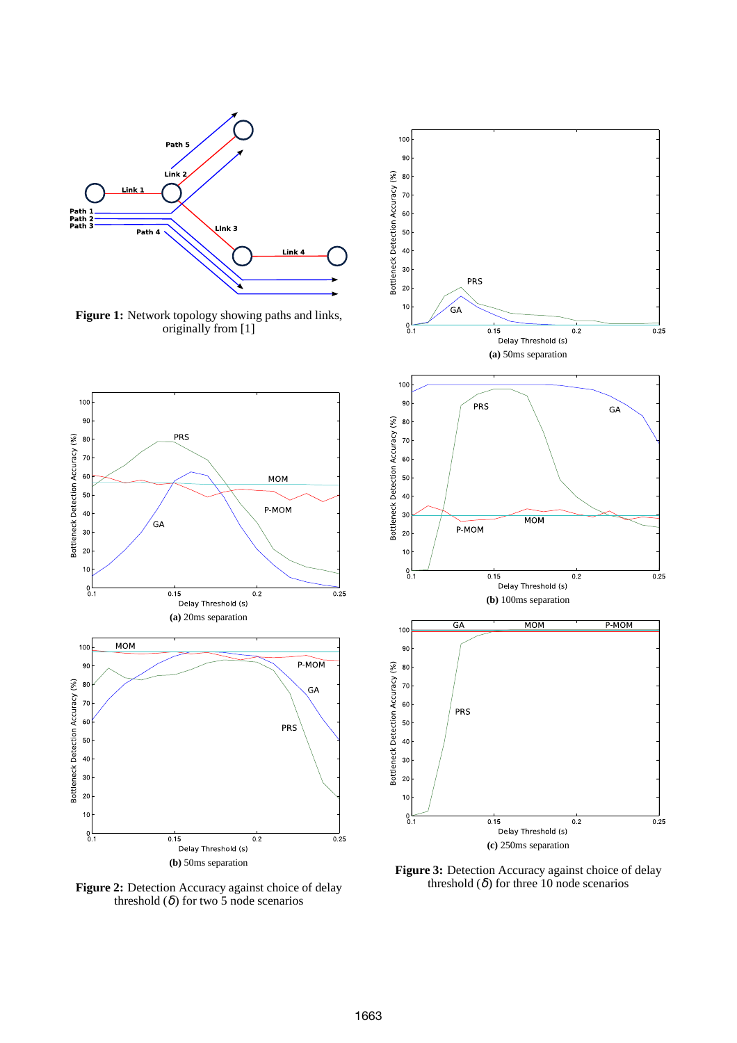

Figure 1: Network topology showing paths and links, originally from [1]



Figure 2: Detection Accuracy against choice of delay threshold  $(\delta)$  for two 5 node scenarios



Figure 3: Detection Accuracy against choice of delay threshold  $(\delta)$  for three 10 node scenarios